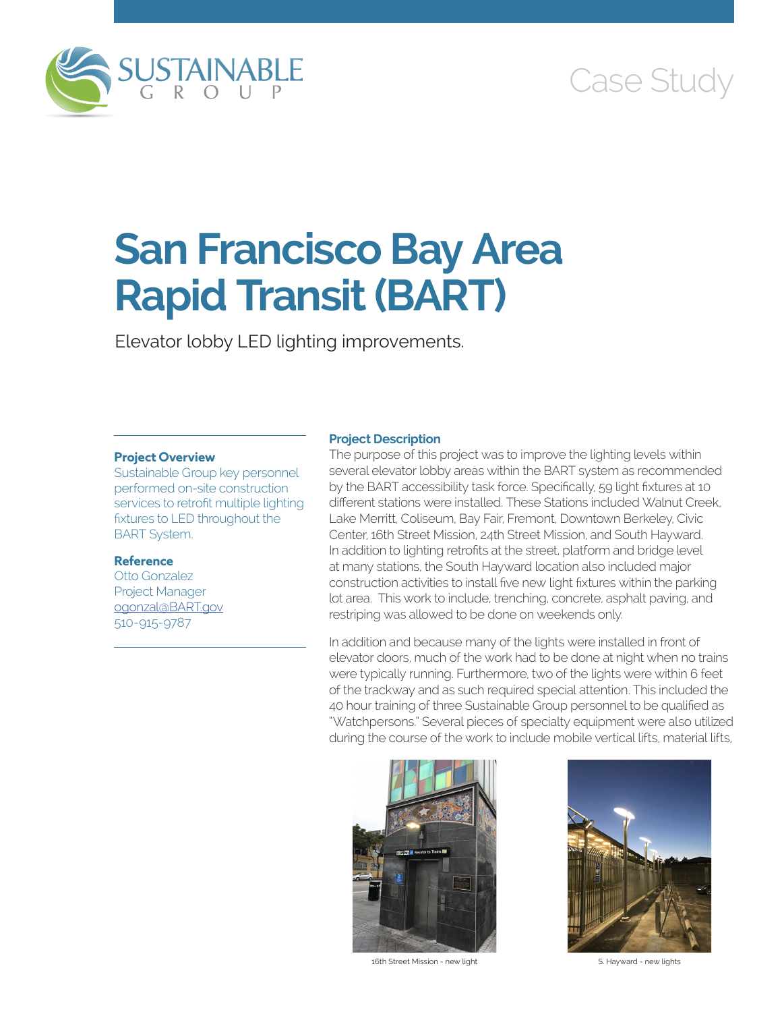

# Case Study

# **San Francisco Bay Area Rapid Transit (BART)**

Elevator lobby LED lighting improvements.

### **Project Overview**

Sustainable Group key personnel performed on-site construction services to retrofit multiple lighting fixtures to LED throughout the BART System.

### **Reference**

Otto Gonzalez Project Manager [ogonzal@BART.gov](mailto:ogonzal@BART.gov) 510-915-9787

## **Project Description**

The purpose of this project was to improve the lighting levels within several elevator lobby areas within the BART system as recommended by the BART accessibility task force. Specifically, 59 light fixtures at 10 different stations were installed. These Stations included Walnut Creek, Lake Merritt, Coliseum, Bay Fair, Fremont, Downtown Berkeley, Civic Center, 16th Street Mission, 24th Street Mission, and South Hayward. In addition to lighting retrofits at the street, platform and bridge level at many stations, the South Hayward location also included major construction activities to install five new light fixtures within the parking lot area. This work to include, trenching, concrete, asphalt paving, and restriping was allowed to be done on weekends only.

In addition and because many of the lights were installed in front of elevator doors, much of the work had to be done at night when no trains were typically running. Furthermore, two of the lights were within 6 feet of the trackway and as such required special attention. This included the 40 hour training of three Sustainable Group personnel to be qualified as "Watchpersons." Several pieces of specialty equipment were also utilized during the course of the work to include mobile vertical lifts, material lifts,



16th Street Mission - new light S. Hayward - new lights